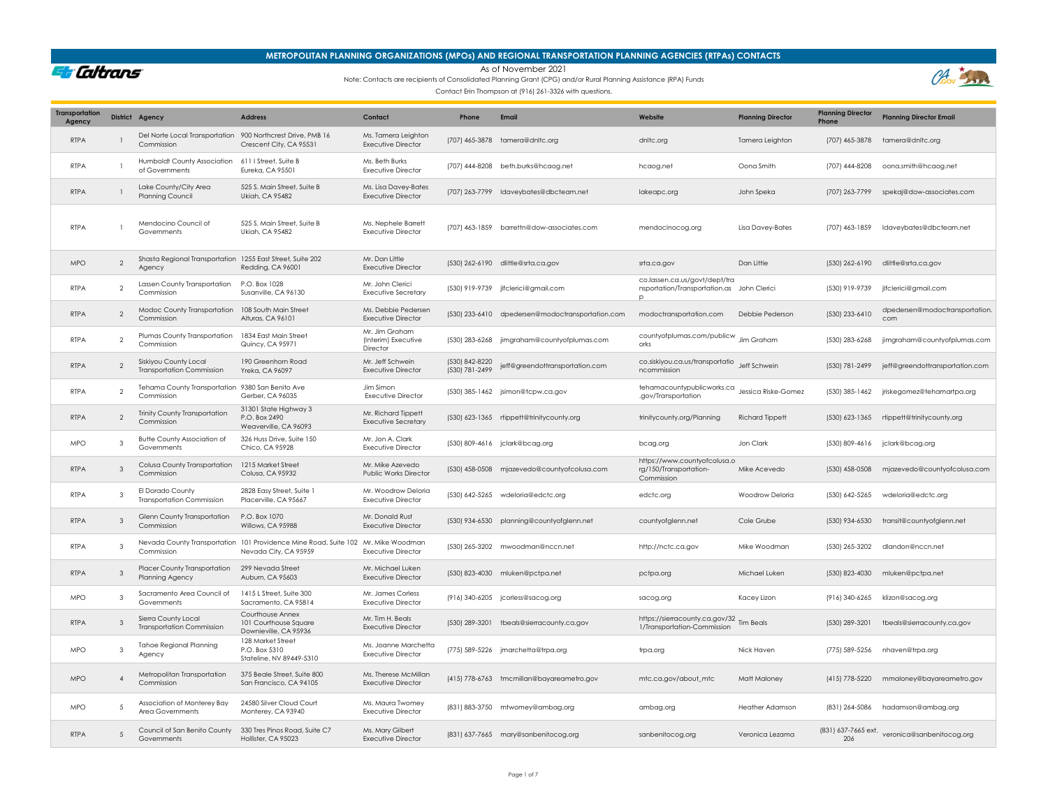### **METROPOLITAN PLANNING ORGANIZATIONS (MPOs) AND REGIONAL TRANSPORTATION PLANNING AGENCIES (RTPAs) CONTACTS**

As of November 2021

Et Caltrans

Note: Contacts are recipients of Consolidated Planning Grant (CPG) and/or Rural Planning Assistance (RPA) Funds



| <b>Transportation</b><br>Agency |                | District Agency                                                           | <b>Address</b>                                                                                             | Contact                                           | Phone                            | Email                                            | Website                                                                          | <b>Planning Director</b> | <b>Planning Director</b><br>Phone | <b>Planning Director Email</b>                |
|---------------------------------|----------------|---------------------------------------------------------------------------|------------------------------------------------------------------------------------------------------------|---------------------------------------------------|----------------------------------|--------------------------------------------------|----------------------------------------------------------------------------------|--------------------------|-----------------------------------|-----------------------------------------------|
| <b>RTPA</b>                     |                | Del Norte Local Transportation 900 Northcrest Drive, PMB 16<br>Commission | Crescent City, CA 95531                                                                                    | Ms. Tamera Leighton<br><b>Executive Director</b>  |                                  | (707) 465-3878 tamera@dnltc.org                  | dnltc.org                                                                        | Tamera Leighton          | (707) 465-3878                    | tamera@dnltc.org                              |
| <b>RTPA</b>                     |                | Humboldt County Association<br>of Governments                             | 611   Street, Suite B<br>Eureka, CA 95501                                                                  | Ms. Beth Burks<br><b>Executive Director</b>       |                                  | (707) 444-8208 beth.burks@hcaog.net              | hcaog.net                                                                        | Oona Smith               | (707) 444-8208                    | oona.smith@hcaog.net                          |
| <b>RTPA</b>                     |                | Lake County/City Area<br><b>Planning Council</b>                          | 525 S. Main Street, Suite B<br>Ukiah, CA 95482                                                             | Ms. Lisa Davey-Bates<br><b>Executive Director</b> |                                  | (707) 263-7799 Idaveybates@dbcteam.net           | lakeapc.org                                                                      | John Speka               |                                   | (707) 263-7799 spekaj@dow-associates.com      |
| <b>RTPA</b>                     |                | Mendocino Council of<br>Governments                                       | 525 S. Main Street, Suite B<br>Ukiah, CA 95482                                                             | Ms. Nephele Barrett<br><b>Executive Director</b>  |                                  | (707) 463-1859 barrettn@dow-associates.com       | mendocinocog.org                                                                 | Lisa Davey-Bates         | (707) 463-1859                    | Idaveybates@dbcteam.net                       |
| <b>MPO</b>                      | $\mathfrak{D}$ | Shasta Regional Transportation 1255 East Street, Suite 202<br>Agency      | Redding, CA 96001                                                                                          | Mr. Dan Little<br><b>Executive Director</b>       |                                  | (530) 262-6190 dlittle@srta.ca.gov               | srta.ca.gov                                                                      | Dan Little               | (530) 262-6190                    | dlittle@srta.ca.gov                           |
| <b>RTPA</b>                     | $\mathcal{P}$  | Lassen County Transportation<br>Commission                                | P.O. Box 1028<br>Susanville, CA 96130                                                                      | Mr. John Clerici<br><b>Executive Secretary</b>    |                                  | (530) 919-9739 jlfclerici@gmail.com              | co.lassen.ca.us/govt/dept/tra<br>nsportation/Transportation.as John Clerici<br>p |                          | (530) 919-9739                    | jlfclerici@gmail.com                          |
| <b>RTPA</b>                     | $\mathfrak{D}$ | Modoc County Transportation 108 South Main Street<br>Commission           | Alturas, CA 96101                                                                                          | Ms. Debbie Pedersen<br><b>Executive Director</b>  |                                  | (530) 233-6410 dpedersen@modoctransportation.com | modoctransportation.com                                                          | Debbie Pederson          | (530) 233-6410                    | dpedersen@modoctransportation<br>com          |
| RTPA                            | $\mathcal{P}$  | Plumas County Transportation<br>Commission                                | 1834 East Main Street<br>Quincy, CA 95971                                                                  | Mr. Jim Graham<br>(Interim) Executive<br>Director |                                  | (530) 283-6268 jimgraham@countyofplumas.com      | countyofplumas.com/publicw<br>orks                                               | Jim Graham               | (530) 283-6268                    | jimgraham@countyofplumas.com                  |
| <b>RTPA</b>                     | $\overline{2}$ | Siskiyou County Local<br><b>Transportation Commission</b>                 | 190 Greenhorn Road<br>Yreka, CA 96097                                                                      | Mr. Jeff Schwein<br><b>Executive Director</b>     | (530) 842-8220<br>(530) 781-2499 | jeff@greendottransportation.com                  | co.siskiyou.ca.us/transportatio Jeff Schwein<br>ncommission                      |                          | (530) 781-2499                    | jeff@greendottransportation.com               |
| <b>RTPA</b>                     | $\overline{2}$ | Tehama County Transportation 9380 San Benito Ave<br>Commission            | Gerber, CA 96035                                                                                           | Jim Simon<br><b>Executive Director</b>            |                                  | (530) 385-1462 jsimon@tcpw.ca.gov                | tehamacountypublicworks.ca<br>.gov/Transportation                                | Jessica Riske-Gomez      | (530) 385-1462                    | jriskegomez@tehamartpa.org                    |
| <b>RTPA</b>                     | $\overline{2}$ | <b>Trinity County Transportation</b><br>Commission                        | 31301 State Highway 3<br>P.O. Box 2490<br>Weaverville, CA 96093                                            | Mr. Richard Tippett<br><b>Executive Secretary</b> |                                  | (530) 623-1365 rtippett@trinitycounty.org        | trinitycounty.org/Planning                                                       | <b>Richard Tippett</b>   | (530) 623-1365                    | rtippett@trinitycounty.org                    |
| <b>MPO</b>                      | 3              | <b>Butte County Association of</b><br>Governments                         | 326 Huss Drive, Suite 150<br>Chico, CA 95928                                                               | Mr. Jon A. Clark<br><b>Executive Director</b>     |                                  | (530) 809-4616 jclark@bcag.org                   | bcag.org                                                                         | Jon Clark                | (530) 809-4616                    | jclark@bcag.org                               |
| <b>RTPA</b>                     | 3              | Colusa County Transportation<br>Commission                                | 1215 Market Street<br>Colusa, CA 95932                                                                     | Mr. Mike Azevedo<br>Public Works Director         |                                  | (530) 458-0508 mjazevedo@countyofcolusa.com      | https://www.countyofcolusa.o<br>rg/150/Transportation-<br>Commission             | Mike Acevedo             | (530) 458-0508                    | mjazevedo@countyofcolusa.com                  |
| <b>RTPA</b>                     | 3              | El Dorado County<br><b>Transportation Commission</b>                      | 2828 Easy Street, Suite 1<br>Placerville, CA 95667                                                         | Mr. Woodrow Deloria<br><b>Executive Director</b>  |                                  | (530) 642-5265 wdeloria@edctc.org                | edctc.org                                                                        | Woodrow Deloria          | (530) 642-5265                    | wdeloria@edctc.org                            |
| <b>RTPA</b>                     | $\mathbf{3}$   | Glenn County Transportation<br>Commission                                 | P.O. Box 1070<br>Willows, CA 95988                                                                         | Mr. Donald Rust<br><b>Executive Director</b>      |                                  | (530) 934-6530 planning@countyofglenn.net        | countyofglenn.net                                                                | Cole Grube               | (530) 934-6530                    | transit@countyofglenn.net                     |
| <b>RTPA</b>                     | 3              | Commission                                                                | Nevada County Transportation 101 Providence Mine Road, Suite 102 Mr. Mike Woodman<br>Nevada City, CA 95959 | <b>Executive Director</b>                         |                                  | (530) 265-3202 mwoodman@nccn.net                 | http://nctc.ca.gov                                                               | Mike Woodman             | (530) 265-3202                    | dlandon@nccn.net                              |
| <b>RTPA</b>                     | $\mathbf{3}$   | Placer County Transportation<br>Planning Agency                           | 299 Nevada Street<br>Auburn, CA 95603                                                                      | Mr. Michael Luken<br><b>Executive Director</b>    |                                  | (530) 823-4030 mluken@pctpa.net                  | pctpa.org                                                                        | Michael Luken            | (530) 823-4030                    | mluken@pctpa.net                              |
| <b>MPO</b>                      | 3              | Sacramento Area Council of<br>Governments                                 | 1415 L Street, Suite 300<br>Sacramento, CA 95814                                                           | Mr. James Corless<br><b>Executive Director</b>    |                                  | (916) 340-6205 jcorless@sacog.org                | sacog.org                                                                        | Kacey Lizon              | (916) 340-6265                    | klizon@sacog.org                              |
| <b>RTPA</b>                     | 3              | Sierra County Local<br><b>Transportation Commission</b>                   | Courthouse Annex<br>101 Courthouse Square<br>Downieville, CA 95936                                         | Mr. Tim H. Beals<br><b>Executive Director</b>     |                                  | (530) 289-3201 tbeals@sierracounty.ca.gov        | https://sierracounty.ca.gov/32 Tim Beals<br>1/Transportation-Commission          |                          | (530) 289-3201                    | tbeals@sierracounty.ca.gov                    |
| <b>MPO</b>                      | $\mathcal{R}$  | <b>Tahoe Regional Planning</b><br>Agency                                  | 128 Market Street<br>P.O. Box 5310<br>Stateline, NV 89449-5310                                             | Ms. Joanne Marchetta<br><b>Executive Director</b> |                                  | (775) 589-5226 jmarchetta@trpa.org               | trpa.org                                                                         | Nick Haven               | (775) 589-5256                    | nhaven@trpa.org                               |
| <b>MPO</b>                      | $\overline{4}$ | Metropolitan Transportation<br>Commission                                 | 375 Beale Street, Suite 800<br>San Francisco, CA 94105                                                     | Ms. Therese McMillan<br><b>Executive Director</b> |                                  | (415) 778-6763 tmcmillan@bayareametro.gov        | mtc.ca.gov/about_mtc                                                             | Matt Maloney             | (415) 778-5220                    | mmaloney@bayareametro.gov                     |
| <b>MPO</b>                      | 5              | Association of Monterey Bay<br>Area Governments                           | 24580 Silver Cloud Court<br>Monterey, CA 93940                                                             | Ms. Maura Twomey<br><b>Executive Director</b>     |                                  | (831) 883-3750 mtwomey@ambag.org                 | ambag.org                                                                        | Heather Adamson          | (831) 264-5086                    | hadamson@ambag.org                            |
| <b>RTPA</b>                     |                | Council of San Benito County<br>Governments                               | 330 Tres Pinos Road, Suite C7<br>Hollister, CA 95023                                                       | Ms. Mary Gilbert<br><b>Executive Director</b>     |                                  | (831) 637-7665 mary@sanbenitocog.org             | sanbenitocog.org                                                                 | Veronica Lezama          |                                   | (831) 637-7665 ext. veronica@sanbenitocog.org |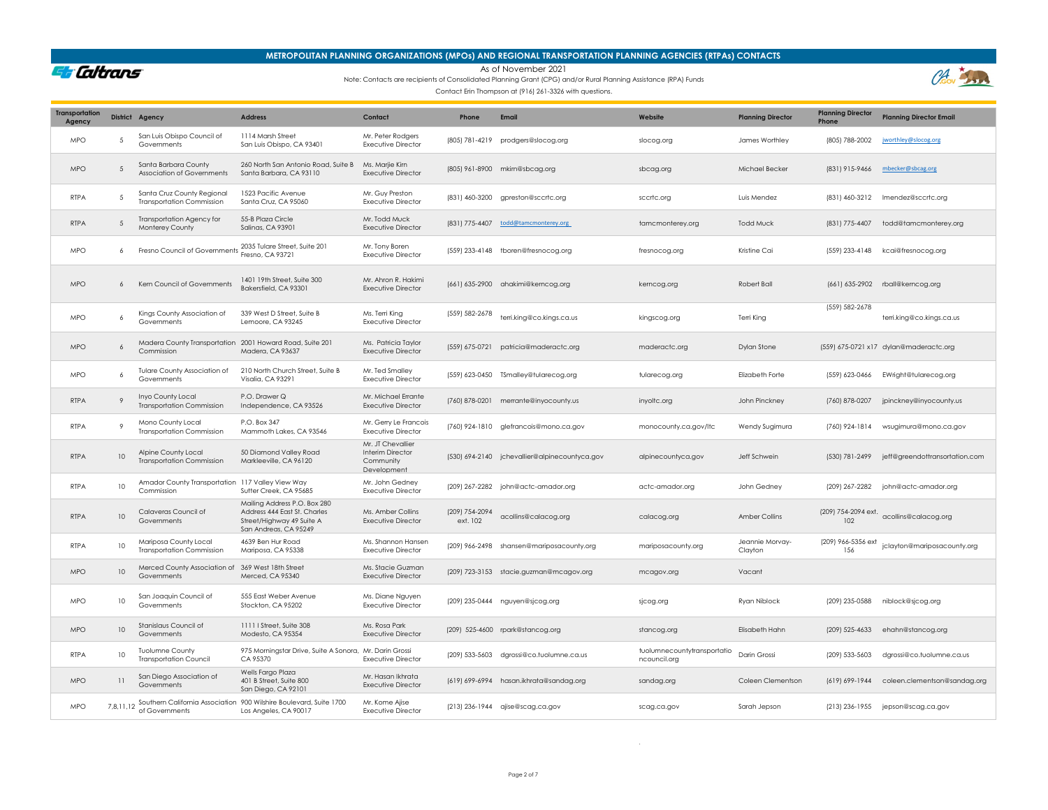### **METROPOLITAN PLANNING ORGANIZATIONS (MPOs) AND REGIONAL TRANSPORTATION PLANNING AGENCIES (RTPAs) CONTACTS**

As of November 2021

**Et Caltrans** 

### Note: Contacts are recipients of Consolidated Planning Grant (CPG) and/or Rural Planning Assistance (RPA) Funds

Contact Erin Thompson at (916) 261-3326 with questions.

| <b>Transportation</b><br>Agency |                | District Agency                                                        | <b>Address</b>                                                                                                     | Contact                                                           | Phone                      | Email                                         | Website                                     | <b>Planning Director</b>   | <b>Planning Director</b><br>Phone | <b>Planning Director Email</b>           |
|---------------------------------|----------------|------------------------------------------------------------------------|--------------------------------------------------------------------------------------------------------------------|-------------------------------------------------------------------|----------------------------|-----------------------------------------------|---------------------------------------------|----------------------------|-----------------------------------|------------------------------------------|
| <b>MPO</b>                      | .5             | San Luis Obispo Council of<br>Governments                              | 1114 Marsh Street<br>San Luis Obispo, CA 93401                                                                     | Mr. Peter Rodgers<br><b>Executive Director</b>                    |                            | (805) 781-4219 prodgers@slocog.org            | slocog.org                                  | James Worthley             | (805) 788-2002                    | jworthley@slocog.org                     |
| <b>MPO</b>                      | 5              | Santa Barbara County<br>Association of Governments                     | 260 North San Antonio Road, Suite B<br>Santa Barbara, CA 93110                                                     | Ms. Marjie Kirn<br><b>Executive Director</b>                      |                            | (805) 961-8900 mkim@sbcag.org                 | sbcag.org                                   | Michael Becker             | (831) 915-9466                    | mbecker@sbcag.org                        |
| <b>RTPA</b>                     | 5              | Santa Cruz County Regional<br><b>Transportation Commission</b>         | 1523 Pacific Avenue<br>Santa Cruz, CA 95060                                                                        | Mr. Guy Preston<br><b>Executive Director</b>                      |                            | (831) 460-3200 gpreston@sccrtc.org            | sccrtc.org                                  | Luis Mendez                | (831) 460-3212                    | Imendez@sccrtc.org                       |
| <b>RTPA</b>                     | 5              | Transportation Agency for<br>Monterey County                           | 55-B Plaza Circle<br>Salinas, CA 93901                                                                             | Mr. Todd Muck<br><b>Executive Director</b>                        |                            | (831) 775-4407 todd@tamcmonterey.org          | tamcmonterey.org                            | Todd Muck                  | (831) 775-4407                    | todd@tamcmonterey.org                    |
| <b>MPO</b>                      | 6              | Fresno Council of Governments                                          | 2035 Tulare Street, Suite 201<br>Fresno, CA 93721                                                                  | Mr. Tony Boren<br><b>Executive Director</b>                       |                            | (559) 233-4148 tboren@fresnocog.org           | fresnocog.org                               | Kristine Cai               | (559) 233-4148                    | kcai@fresnocog.org                       |
| <b>MPO</b>                      | $\overline{a}$ | Kern Council of Governments                                            | 1401 19th Street, Suite 300<br>Bakersfield, CA 93301                                                               | Mr. Ahron R. Hakimi<br><b>Executive Director</b>                  |                            | (661) 635-2900 ahakimi@kerncog.org            | kerncog.org                                 | Robert Ball                |                                   | (661) 635-2902 rball@kerncog.org         |
| <b>MPO</b>                      | 6              | Kings County Association of<br>Governments                             | 339 West D Street, Suite B<br>Lemoore, CA 93245                                                                    | Ms. Terri King<br><b>Executive Director</b>                       | (559) 582-2678             | terri.king@co.kings.ca.us                     | kingscog.org                                | Terri King                 | (559) 582-2678                    | terri.king@co.kings.ca.us                |
| <b>MPO</b>                      | 6              | Madera County Transportation 2001 Howard Road, Suite 201<br>Commission | Madera, CA 93637                                                                                                   | Ms. Patricia Taylor<br><b>Executive Director</b>                  |                            | (559) 675-0721 patricia@maderactc.org         | maderactc.org                               | Dylan Stone                |                                   | (559) 675-0721 x17 dylan@maderactc.org   |
| <b>MPO</b>                      | 6              | <b>Tulare County Association of</b><br>Governments                     | 210 North Church Street, Suite B<br>Visalia, CA 93291                                                              | Mr. Ted Smallev<br><b>Executive Director</b>                      |                            | (559) 623-0450 TSmalley@tularecog.org         | tularecog.org                               | Elizabeth Forte            | (559) 623-0466                    | EWright@tularecog.org                    |
| <b>RTPA</b>                     | $\overline{9}$ | Inyo County Local<br><b>Transportation Commission</b>                  | P.O. Drawer Q<br>Independence, CA 93526                                                                            | Mr. Michael Errante<br><b>Executive Director</b>                  |                            | (760) 878-0201 merrante@inyocounty.us         | inyoltc.org                                 | John Pinckney              | (760) 878-0207                    | jpinckney@inyocounty.us                  |
| <b>RTPA</b>                     | $\overline{9}$ | Mono County Local<br><b>Transportation Commission</b>                  | P.O. Box 347<br>Mammoth Lakes, CA 93546                                                                            | Mr. Gerry Le Francois<br><b>Executive Director</b>                |                            | (760) 924-1810 glefrancois@mono.ca.gov        | monocounty.ca.gov/ltc                       | Wendy Sugimura             |                                   | (760) 924-1814 wsugimura@mono.ca.gov     |
| <b>RTPA</b>                     | 10             | Alpine County Local<br><b>Transportation Commission</b>                | 50 Diamond Valley Road<br>Markleeville, CA 96120                                                                   | Mr. JT Chevallier<br>Interim Director<br>Community<br>Development |                            | (530) 694-2140 jchevallier@alpinecountyca.gov | alpinecountyca.gov                          | Jeff Schwein               | (530) 781-2499                    | jeff@greendottransortation.com           |
| <b>RTPA</b>                     | 10             | Amador County Transportation 117 Valley View Way<br>Commission         | Sutter Creek, CA 95685                                                                                             | Mr. John Gedney<br><b>Executive Director</b>                      |                            | (209) 267-2282 john@actc-amador.org           | actc-amador.org                             | John Gedney                | (209) 267-2282                    | john@actc-amador.org                     |
| <b>RTPA</b>                     | $10\,$         | Calaveras Council of<br>Governments                                    | Mailing Address P.O. Box 280<br>Address 444 East St. Charles<br>Street/Highway 49 Suite A<br>San Andreas, CA 95249 | Ms. Amber Collins<br><b>Executive Director</b>                    | (209) 754-2094<br>ext. 102 | acollins@calacog.org                          | calacog.org                                 | Amber Collins              | 102                               | (209) 754-2094 ext. acollins@calacog.org |
| <b>RTPA</b>                     | 10             | Mariposa County Local<br><b>Transportation Commission</b>              | 4639 Ben Hur Road<br>Mariposa, CA 95338                                                                            | Ms. Shannon Hansen<br><b>Executive Director</b>                   |                            | (209) 966-2498 shansen@mariposacounty.org     | mariposacounty.org                          | Jeannie Morvay-<br>Clayton | (209) 966-5356 ext                | jclayton@mariposacounty.org              |
| <b>MPO</b>                      | 10             | Merced County Association of<br>Governments                            | 369 West 18th Street<br>Merced, CA 95340                                                                           | Ms. Stacie Guzman<br><b>Executive Director</b>                    |                            | (209) 723-3153 stacie.guzman@mcagov.org       | mcagov.org                                  | Vacant                     |                                   |                                          |
| <b>MPO</b>                      | 10             | San Joaquin Council of<br>Governments                                  | 555 East Weber Avenue<br>Stockton, CA 95202                                                                        | Ms. Diane Nguyen<br><b>Executive Director</b>                     |                            | (209) 235-0444 nguyen@sjcog.org               | sjcog.org                                   | Ryan Niblock               | (209) 235-0588                    | niblock@sjcog.org                        |
| <b>MPO</b>                      | 10             | Stanislaus Council of<br>Governments                                   | 1111   Street, Suite 308<br>Modesto, CA 95354                                                                      | Ms. Rosa Park<br><b>Executive Director</b>                        |                            | (209) 525-4600 rpark@stancog.org              | stancog.org                                 | Elisabeth Hahn             | (209) 525-4633                    | ehahn@stancog.org                        |
| <b>RTPA</b>                     | 10             | Tuolumne County<br><b>Transportation Council</b>                       | 975 Morningstar Drive, Suite A Sonora, Mr. Darin Grossi<br>CA 95370                                                | <b>Executive Director</b>                                         |                            | (209) 533-5603 dgrossi@co.tuolumne.ca.us      | tuolumnecountytransportatio<br>ncouncil.org | Darin Grossi               | (209) 533-5603                    | dgrossi@co.tuolumne.ca.us                |
| <b>MPO</b>                      | 11             | San Diego Association of<br>Governments                                | Wells Fargo Plaza<br>401 B Street, Suite 800<br>San Diego, CA 92101                                                | Mr. Hasan Ikhrata<br><b>Executive Director</b>                    |                            | (619) 699-6994 hasan.ikhrata@sandag.org       | sandag.org                                  | Coleen Clementson          | (619) 699-1944                    | coleen.clementson@sandag.org             |
| <b>MPO</b>                      |                | of Governments                                                         | 7,8,11,12 Southern California Association 900 Wilshire Boulevard, Suite 1700<br>Los Angeles, CA 90017              | Mr. Kome Ajise<br>Executive Director                              |                            | (213) 236-1944 ajise@scag.ca.gov              | scag.ca.gov                                 | Sarah Jepson               |                                   | (213) 236-1955 jepson@scag.ca.gov        |

.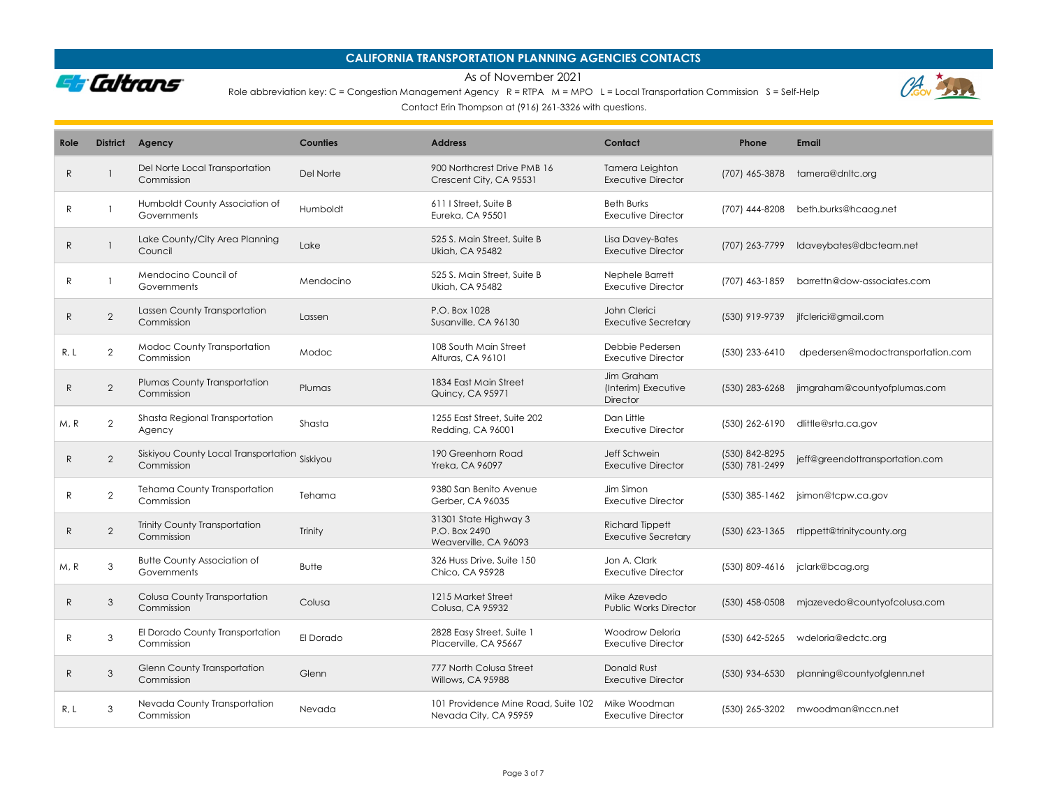

As of November 2021

Role abbreviation key: C = Congestion Management Agency  $R = RTPA$   $M = MPO$  L = Local Transportation Commission S = Self-Help

 $\theta$ 

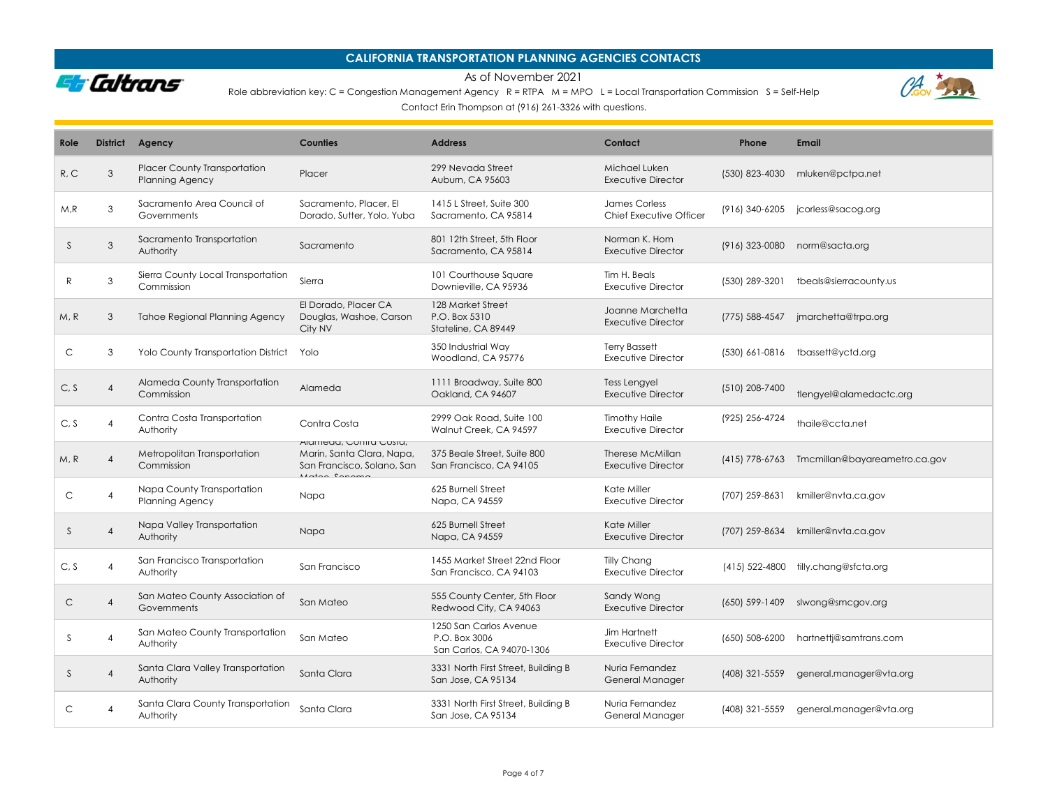

As of November 2021

Role abbreviation key: C = Congestion Management Agency  $R = RTPA$   $M = MPO$  L = Local Transportation Commission S = Self-Help



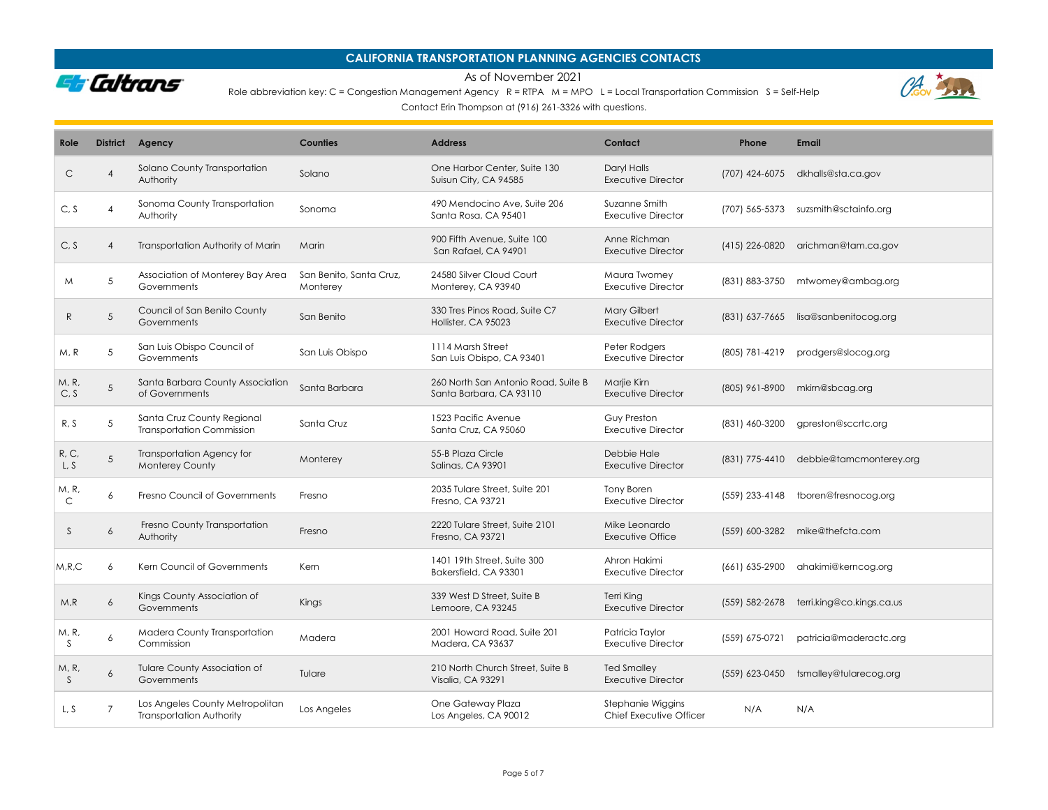

### As of November 2021

Role abbreviation key: C = Congestion Management Agency R = RTPA M = MPO L = Local Transportation Commission S = Self-Help



| Role                  | <b>District</b> | Agency                                                             | Counties                            | <b>Address</b>                                                 | Contact                                      | Phone          | <b>Email</b>              |
|-----------------------|-----------------|--------------------------------------------------------------------|-------------------------------------|----------------------------------------------------------------|----------------------------------------------|----------------|---------------------------|
| C                     | 4               | Solano County Transportation<br>Authority                          | Solano                              | One Harbor Center, Suite 130<br>Suisun City, CA 94585          | Daryl Halls<br><b>Executive Director</b>     | (707) 424-6075 | dkhalls@sta.ca.gov        |
| C, S                  | $\overline{4}$  | Sonoma County Transportation<br>Authority                          | Sonoma                              | 490 Mendocino Ave, Suite 206<br>Santa Rosa, CA 95401           | Suzanne Smith<br><b>Executive Director</b>   | (707) 565-5373 | suzsmith@sctainfo.org     |
| C, S                  | $\overline{4}$  | Transportation Authority of Marin                                  | Marin                               | 900 Fifth Avenue, Suite 100<br>San Rafael, CA 94901            | Anne Richman<br><b>Executive Director</b>    | (415) 226-0820 | arichman@tam.ca.gov       |
| M                     | 5               | Association of Monterey Bay Area<br>Governments                    | San Benito, Santa Cruz.<br>Monterey | 24580 Silver Cloud Court<br>Monterey, CA 93940                 | Maura Twomey<br><b>Executive Director</b>    | (831) 883-3750 | mtwomey@ambag.org         |
| $\mathsf{R}$          | 5               | Council of San Benito County<br>Governments                        | San Benito                          | 330 Tres Pinos Road, Suite C7<br>Hollister, CA 95023           | Mary Gilbert<br><b>Executive Director</b>    | (831) 637-7665 | lisa@sanbenitocog.org     |
| M, R                  | 5               | San Luis Obispo Council of<br>Governments                          | San Luis Obispo                     | 1114 Marsh Street<br>San Luis Obispo, CA 93401                 | Peter Rodgers<br>Executive Director          | (805) 781-4219 | prodgers@slocog.org       |
| M, R,<br>C, S         | 5               | Santa Barbara County Association<br>of Governments                 | Santa Barbara                       | 260 North San Antonio Road, Suite B<br>Santa Barbara, CA 93110 | Marjie Kirn<br><b>Executive Director</b>     | (805) 961-8900 | mkirn@sbcag.org           |
| R, S                  | 5               | Santa Cruz County Regional<br><b>Transportation Commission</b>     | Santa Cruz                          | 1523 Pacific Avenue<br>Santa Cruz, CA 95060                    | Guy Preston<br>Executive Director            | (831) 460-3200 | gpreston@sccrtc.org       |
| R, C,<br>L, S         | 5               | <b>Transportation Agency for</b><br><b>Monterey County</b>         | Monterey                            | 55-B Plaza Circle<br><b>Salinas, CA 93901</b>                  | Debbie Hale<br><b>Executive Director</b>     | (831) 775-4410 | debbie@tamcmonterey.org   |
| M, R,<br>$\mathsf{C}$ | 6               | Fresno Council of Governments                                      | Fresno                              | 2035 Tulare Street, Suite 201<br>Fresno, CA 93721              | Tony Boren<br><b>Executive Director</b>      | (559) 233-4148 | tboren@fresnocog.org      |
| S                     | 6               | Fresno County Transportation<br>Authority                          | Fresno                              | 2220 Tulare Street, Suite 2101<br>Fresno, CA 93721             | Mike Leonardo<br>Executive Office            | (559) 600-3282 | mike@thefcta.com          |
| M, R, C               | 6               | Kern Council of Governments                                        | Kern                                | 1401 19th Street, Suite 300<br>Bakersfield, CA 93301           | Ahron Hakimi<br><b>Executive Director</b>    | (661) 635-2900 | ahakimi@kerncog.org       |
| M, R                  | 6               | Kings County Association of<br>Governments                         | Kings                               | 339 West D Street, Suite B<br>Lemoore, CA 93245                | Terri King<br><b>Executive Director</b>      | (559) 582-2678 | terri.king@co.kings.ca.us |
| M, R,<br><sup>S</sup> | 6               | Madera County Transportation<br>Commission                         | Madera                              | 2001 Howard Road, Suite 201<br>Madera, CA 93637                | Patricia Taylor<br><b>Executive Director</b> | (559) 675-0721 | patricia@maderactc.org    |
| M, R,<br><sub>S</sub> | 6               | <b>Tulare County Association of</b><br>Governments                 | Tulare                              | 210 North Church Street, Suite B<br>Visalia, CA 93291          | <b>Ted Smalley</b><br>Executive Director     | (559) 623-0450 | tsmalley@tularecog.org    |
| L.S                   | $\overline{7}$  | Los Angeles County Metropolitan<br><b>Transportation Authority</b> | Los Angeles                         | One Gateway Plaza<br>Los Angeles, CA 90012                     | Stephanie Wiggins<br>Chief Executive Officer | N/A            | N/A                       |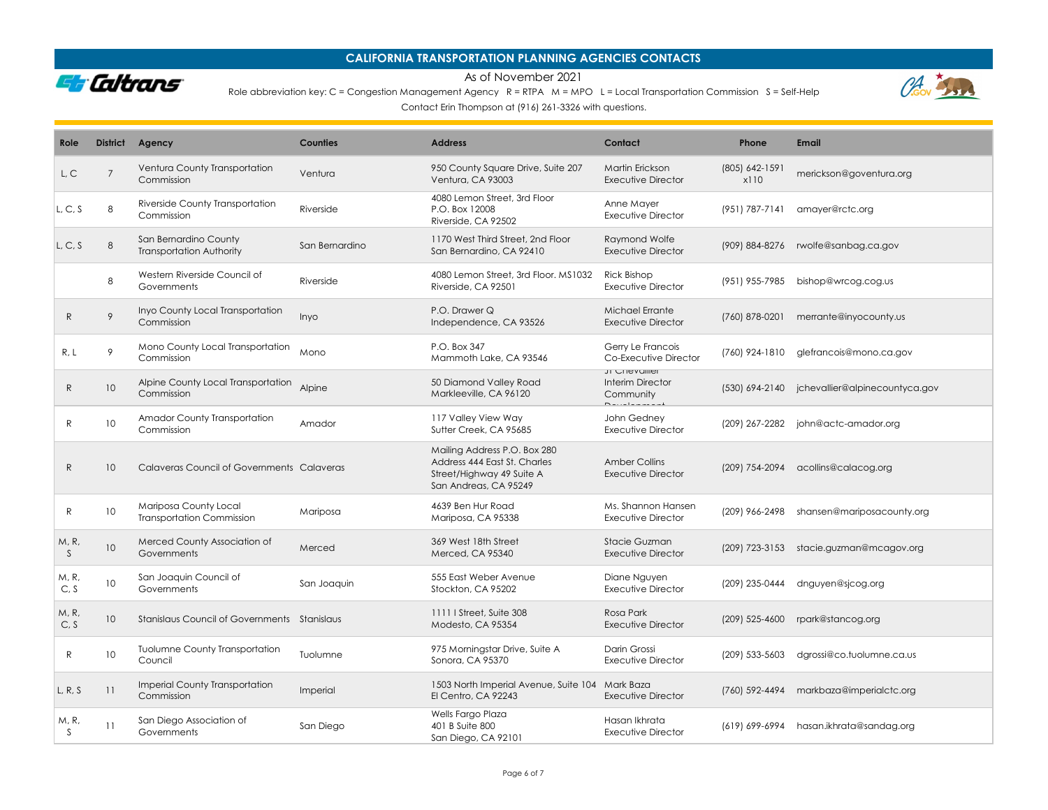

### As of November 2021

Role abbreviation key: C = Congestion Management Agency R = RTPA M = MPO L = Local Transportation Commission S = Self-Help





| Role          | <b>District</b> | Agency                                                    | Counties       | <b>Address</b>                                                                                                     | Contact                                                           | Phone                  | <b>Email</b>                                  |
|---------------|-----------------|-----------------------------------------------------------|----------------|--------------------------------------------------------------------------------------------------------------------|-------------------------------------------------------------------|------------------------|-----------------------------------------------|
| L, C          | $\overline{7}$  | Ventura County Transportation<br>Commission               | Ventura        | 950 County Square Drive, Suite 207<br>Ventura, CA 93003                                                            | Martin Erickson<br>Executive Director                             | (805) 642-1591<br>x110 | merickson@goventura.org                       |
| L, C, S       | 8               | Riverside County Transportation<br>Commission             | Riverside      | 4080 Lemon Street, 3rd Floor<br>P.O. Box 12008<br>Riverside, CA 92502                                              | Anne Mayer<br>Executive Director                                  | (951) 787-7141         | amayer@rctc.org                               |
| L, C, S       | 8               | San Bernardino County<br><b>Transportation Authority</b>  | San Bernardino | 1170 West Third Street, 2nd Floor<br>San Bernardino, CA 92410                                                      | Raymond Wolfe<br><b>Executive Director</b>                        | (909) 884-8276         | rwolfe@sanbag.ca.gov                          |
|               | 8               | Western Riverside Council of<br>Governments               | Riverside      | 4080 Lemon Street, 3rd Floor, MS1032<br>Riverside, CA 92501                                                        | <b>Rick Bishop</b><br><b>Executive Director</b>                   | (951) 955-7985         | bishop@wrcog.cog.us                           |
| R             | 9               | Inyo County Local Transportation<br>Commission            | Inyo           | P.O. Drawer Q<br>Independence, CA 93526                                                                            | Michael Errante<br><b>Executive Director</b>                      | (760) 878-0201         | merrante@inyocounty.us                        |
| R, L          | 9               | Mono County Local Transportation<br>Commission            | Mono           | P.O. Box 347<br>Mammoth Lake, CA 93546                                                                             | Gerry Le Francois<br>Co-Executive Director                        | (760) 924-1810         | glefrancois@mono.ca.gov                       |
| R             | 10              | Alpine County Local Transportation<br>Commission          | Alpine         | 50 Diamond Valley Road<br>Markleeville, CA 96120                                                                   | JI CHEVUIIEI<br>Interim Director<br>Community<br>$D$ <sup>2</sup> |                        | (530) 694-2140 jchevallier@alpinecountyca.gov |
| R             | 10              | Amador County Transportation<br>Commission                | Amador         | 117 Valley View Way<br>Sutter Creek, CA 95685                                                                      | John Gedney<br><b>Executive Director</b>                          | (209) 267-2282         | john@actc-amador.org                          |
| R             | 10              | Calaveras Council of Governments Calaveras                |                | Mailing Address P.O. Box 280<br>Address 444 East St. Charles<br>Street/Highway 49 Suite A<br>San Andreas, CA 95249 | <b>Amber Collins</b><br>Executive Director                        | (209) 754-2094         | acollins@calacog.org                          |
| R             | 10              | Mariposa County Local<br><b>Transportation Commission</b> | Mariposa       | 4639 Ben Hur Road<br>Mariposa, CA 95338                                                                            | Ms. Shannon Hansen<br>Executive Director                          | (209) 966-2498         | shansen@mariposacounty.org                    |
| M, R<br>S.    | 10              | Merced County Association of<br>Governments               | Merced         | 369 West 18th Street<br>Merced, CA 95340                                                                           | Stacie Guzman<br>Executive Director                               |                        | (209) 723-3153 stacie.guzman@mcagov.org       |
| M, R,<br>C, S | 10              | San Joaquin Council of<br>Governments                     | San Joaquin    | 555 East Weber Avenue<br>Stockton, CA 95202                                                                        | Diane Nguyen<br>Executive Director                                | (209) 235-0444         | dnguyen@sjcog.org                             |
| M, R,<br>C, S | 10              | Stanislaus Council of Governments Stanislaus              |                | 1111   Street, Suite 308<br>Modesto, CA 95354                                                                      | Rosa Park<br>Executive Director                                   | (209) 525-4600         | rpark@stancog.org                             |
| R             | 10              | <b>Tuolumne County Transportation</b><br>Council          | Tuolumne       | 975 Morningstar Drive, Suite A<br>Sonora, CA 95370                                                                 | Darin Grossi<br>Executive Director                                | (209) 533-5603         | dgrossi@co.tuolumne.ca.us                     |
| L, R, S       | 11              | <b>Imperial County Transportation</b><br>Commission       | Imperial       | 1503 North Imperial Avenue, Suite 104 Mark Baza<br>El Centro, CA 92243                                             | <b>Executive Director</b>                                         | (760) 592-4494         | markbaza@imperialctc.org                      |
| M, R,<br>S.   | 11              | San Diego Association of<br>Governments                   | San Diego      | Wells Fargo Plaza<br>401 B Suite 800<br>San Diego, CA 92101                                                        | Hasan Ikhrata<br><b>Executive Director</b>                        |                        | (619) 699-6994 hasan.ikhrata@sandag.org       |